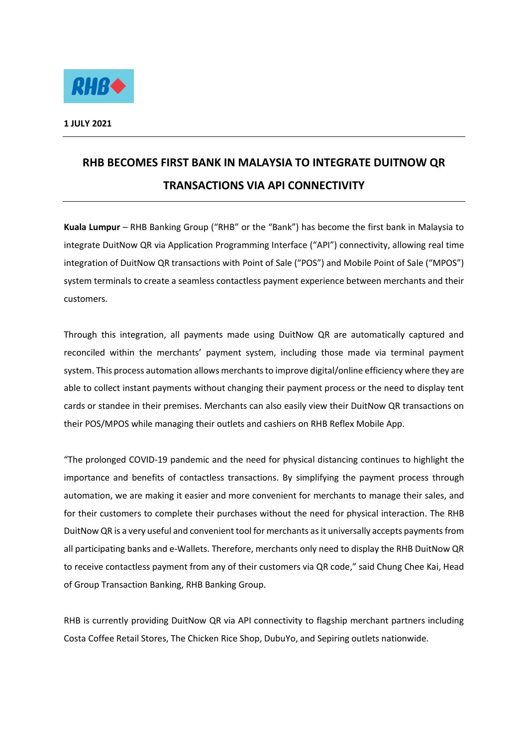

## **RHB BECOMES FIRST BANK IN MALAYSIA TO INTEGRATE DUITNOW QR TRANSACTIONS VIA API CONNECTIVITY**

**Kuala Lumpur** – RHB Banking Group ("RHB" or the "Bank") has become the first bank in Malaysia to integrate DuitNow QR via Application Programming Interface ("API") connectivity, allowing real time integration of DuitNow QR transactions with Point of Sale ("POS") and Mobile Point of Sale ("MPOS") system terminals to create a seamless contactless payment experience between merchants and their customers.

Through this integration, all payments made using DuitNow QR are automatically captured and reconciled within the merchants' payment system, including those made via terminal payment system. This process automation allows merchants to improve digital/online efficiency where they are able to collect instant payments without changing their payment process or the need to display tent cards or standee in their premises. Merchants can also easily view their DuitNow QR transactions on their POS/MPOS while managing their outlets and cashiers on RHB Reflex Mobile App.

"The prolonged COVID-19 pandemic and the need for physical distancing continues to highlight the importance and benefits of contactless transactions. By simplifying the payment process through automation, we are making it easier and more convenient for merchants to manage their sales, and for their customers to complete their purchases without the need for physical interaction. The RHB DuitNow QR is a very useful and convenient tool for merchants as it universally accepts payments from all participating banks and e-Wallets. Therefore, merchants only need to display the RHB DuitNow QR to receive contactless payment from any of their customers via QR code," said Chung Chee Kai, Head of Group Transaction Banking, RHB Banking Group.

RHB is currently providing DuitNow QR via API connectivity to flagship merchant partners including Costa Coffee Retail Stores, The Chicken Rice Shop, DubuYo, and Sepiring outlets nationwide.